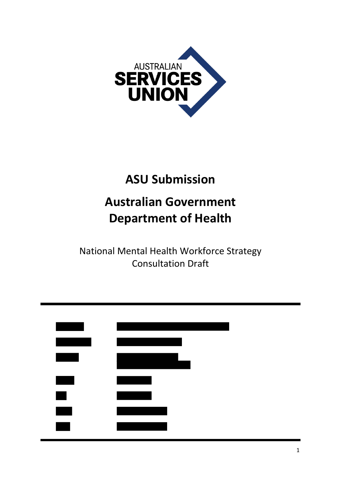

# **ASU Submission**

# **Australian Government Department of Health**

National Mental Health Workforce Strategy Consultation Draft

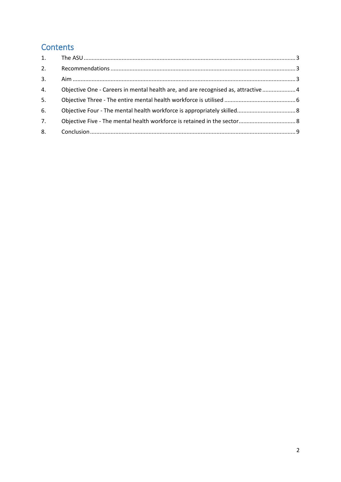# **Contents**

| Objective One - Careers in mental health are, and are recognised as, attractive  4 |
|------------------------------------------------------------------------------------|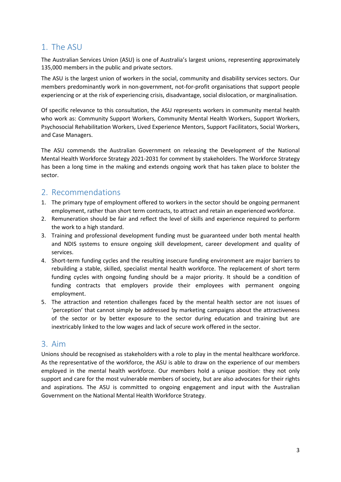## 1. The ASU

The Australian Services Union (ASU) is one of Australia's largest unions, representing approximately 135,000 members in the public and private sectors.

The ASU is the largest union of workers in the social, community and disability services sectors. Our members predominantly work in non-government, not-for-profit organisations that support people experiencing or at the risk of experiencing crisis, disadvantage, social dislocation, or marginalisation.

Of specific relevance to this consultation, the ASU represents workers in community mental health who work as: Community Support Workers, Community Mental Health Workers, Support Workers, Psychosocial Rehabilitation Workers, Lived Experience Mentors, Support Facilitators, Social Workers, and Case Managers.

The ASU commends the Australian Government on releasing the Development of the National Mental Health Workforce Strategy 2021-2031 for comment by stakeholders. The Workforce Strategy has been a long time in the making and extends ongoing work that has taken place to bolster the sector.

### 2. Recommendations

- 1. The primary type of employment offered to workers in the sector should be ongoing permanent employment, rather than short term contracts, to attract and retain an experienced workforce.
- 2. Remuneration should be fair and reflect the level of skills and experience required to perform the work to a high standard.
- 3. Training and professional development funding must be guaranteed under both mental health and NDIS systems to ensure ongoing skill development, career development and quality of services.
- 4. Short-term funding cycles and the resulting insecure funding environment are major barriers to rebuilding a stable, skilled, specialist mental health workforce. The replacement of short term funding cycles with ongoing funding should be a major priority. It should be a condition of funding contracts that employers provide their employees with permanent ongoing employment.
- 5. The attraction and retention challenges faced by the mental health sector are not issues of 'perception' that cannot simply be addressed by marketing campaigns about the attractiveness of the sector or by better exposure to the sector during education and training but are inextricably linked to the low wages and lack of secure work offered in the sector.

## 3. Aim

Unions should be recognised as stakeholders with a role to play in the mental healthcare workforce. As the representative of the workforce, the ASU is able to draw on the experience of our members employed in the mental health workforce. Our members hold a unique position: they not only support and care for the most vulnerable members of society, but are also advocates for their rights and aspirations. The ASU is committed to ongoing engagement and input with the Australian Government on the National Mental Health Workforce Strategy.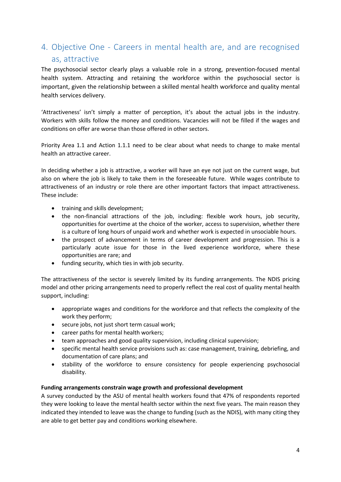# 4. Objective One - Careers in mental health are, and are recognised as, attractive

The psychosocial sector clearly plays a valuable role in a strong, prevention-focused mental health system. Attracting and retaining the workforce within the psychosocial sector is important, given the relationship between a skilled mental health workforce and quality mental health services delivery.

'Attractiveness' isn't simply a matter of perception, it's about the actual jobs in the industry. Workers with skills follow the money and conditions. Vacancies will not be filled if the wages and conditions on offer are worse than those offered in other sectors.

Priority Area 1.1 and Action 1.1.1 need to be clear about what needs to change to make mental health an attractive career.

In deciding whether a job is attractive, a worker will have an eye not just on the current wage, but also on where the job is likely to take them in the foreseeable future. While wages contribute to attractiveness of an industry or role there are other important factors that impact attractiveness. These include:

- training and skills development;
- the non-financial attractions of the job, including: flexible work hours, job security, opportunities for overtime at the choice of the worker, access to supervision, whether there is a culture of long hours of unpaid work and whether work is expected in unsociable hours.
- the prospect of advancement in terms of career development and progression. This is a particularly acute issue for those in the lived experience workforce, where these opportunities are rare; and
- funding security, which ties in with job security.

The attractiveness of the sector is severely limited by its funding arrangements. The NDIS pricing model and other pricing arrangements need to properly reflect the real cost of quality mental health support, including:

- appropriate wages and conditions for the workforce and that reflects the complexity of the work they perform;
- secure jobs, not just short term casual work;
- career paths for mental health workers;
- team approaches and good quality supervision, including clinical supervision;
- specific mental health service provisions such as: case management, training, debriefing, and documentation of care plans; and
- stability of the workforce to ensure consistency for people experiencing psychosocial disability.

#### **Funding arrangements constrain wage growth and professional development**

A survey conducted by the ASU of mental health workers found that 47% of respondents reported they were looking to leave the mental health sector within the next five years. The main reason they indicated they intended to leave was the change to funding (such as the NDIS), with many citing they are able to get better pay and conditions working elsewhere.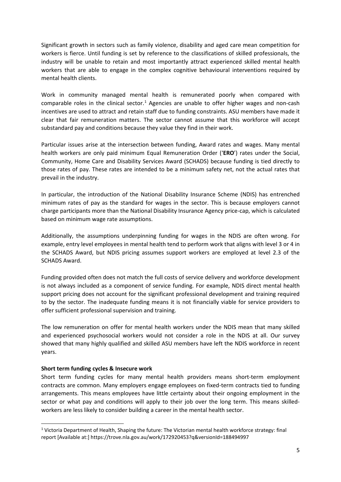Significant growth in sectors such as family violence, disability and aged care mean competition for workers is fierce. Until funding is set by reference to the classifications of skilled professionals, the industry will be unable to retain and most importantly attract experienced skilled mental health workers that are able to engage in the complex cognitive behavioural interventions required by mental health clients.

Work in community managed mental health is remunerated poorly when compared with comparable roles in the clinical sector.<sup>1</sup> Agencies are unable to offer higher wages and non-cash incentives are used to attract and retain staff due to funding constraints. ASU members have made it clear that fair remuneration matters. The sector cannot assume that this workforce will accept substandard pay and conditions because they value they find in their work.

Particular issues arise at the intersection between funding, Award rates and wages. Many mental health workers are only paid minimum Equal Remuneration Order ('**ERO**') rates under the Social, Community, Home Care and Disability Services Award (SCHADS) because funding is tied directly to those rates of pay. These rates are intended to be a minimum safety net, not the actual rates that prevail in the industry.

In particular, the introduction of the National Disability Insurance Scheme (NDIS) has entrenched minimum rates of pay as the standard for wages in the sector. This is because employers cannot charge participants more than the National Disability Insurance Agency price-cap, which is calculated based on minimum wage rate assumptions.

Additionally, the assumptions underpinning funding for wages in the NDIS are often wrong. For example, entry level employees in mental health tend to perform work that aligns with level 3 or 4 in the SCHADS Award, but NDIS pricing assumes support workers are employed at level 2.3 of the SCHADS Award.

Funding provided often does not match the full costs of service delivery and workforce development is not always included as a component of service funding. For example, NDIS direct mental health support pricing does not account for the significant professional development and training required to by the sector. The inadequate funding means it is not financially viable for service providers to offer sufficient professional supervision and training.

The low remuneration on offer for mental health workers under the NDIS mean that many skilled and experienced psychosocial workers would not consider a role in the NDIS at all. Our survey showed that many highly qualified and skilled ASU members have left the NDIS workforce in recent years.

#### **Short term funding cycles & Insecure work**

 $\overline{a}$ 

Short term funding cycles for many mental health providers means short-term employment contracts are common. Many employers engage employees on fixed-term contracts tied to funding arrangements. This means employees have little certainty about their ongoing employment in the sector or what pay and conditions will apply to their job over the long term. This means skilledworkers are less likely to consider building a career in the mental health sector.

<sup>&</sup>lt;sup>1</sup> Victoria Department of Health, Shaping the future: The Victorian mental health workforce strategy: final report [Available at:] https://trove.nla.gov.au/work/172920453?q&versionId=188494997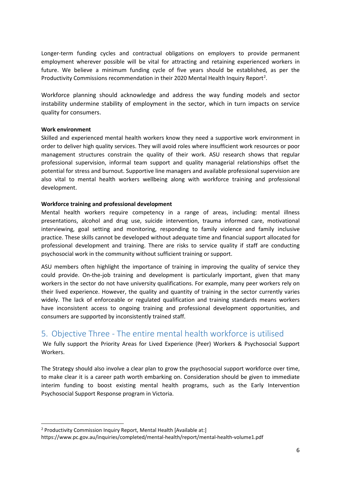Longer-term funding cycles and contractual obligations on employers to provide permanent employment wherever possible will be vital for attracting and retaining experienced workers in future. We believe a minimum funding cycle of five years should be established, as per the Productivity Commissions recommendation in their 2020 Mental Health Inquiry Report<sup>2</sup>.

Workforce planning should acknowledge and address the way funding models and sector instability undermine stability of employment in the sector, which in turn impacts on service quality for consumers.

#### **Work environment**

 $\overline{a}$ 

Skilled and experienced mental health workers know they need a supportive work environment in order to deliver high quality services. They will avoid roles where insufficient work resources or poor management structures constrain the quality of their work. ASU research shows that regular professional supervision, informal team support and quality managerial relationships offset the potential for stress and burnout. Supportive line managers and available professional supervision are also vital to mental health workers wellbeing along with workforce training and professional development.

#### **Workforce training and professional development**

Mental health workers require competency in a range of areas, including: mental illness presentations, alcohol and drug use, suicide intervention, trauma informed care, motivational interviewing, goal setting and monitoring, responding to family violence and family inclusive practice. These skills cannot be developed without adequate time and financial support allocated for professional development and training. There are risks to service quality if staff are conducting psychosocial work in the community without sufficient training or support.

ASU members often highlight the importance of training in improving the quality of service they could provide. On-the-job training and development is particularly important, given that many workers in the sector do not have university qualifications. For example, many peer workers rely on their lived experience. However, the quality and quantity of training in the sector currently varies widely. The lack of enforceable or regulated qualification and training standards means workers have inconsistent access to ongoing training and professional development opportunities, and consumers are supported by inconsistently trained staff.

### 5. Objective Three - The entire mental health workforce is utilised

We fully support the Priority Areas for Lived Experience (Peer) Workers & Psychosocial Support Workers.

The Strategy should also involve a clear plan to grow the psychosocial support workforce over time, to make clear it is a career path worth embarking on. Consideration should be given to immediate interim funding to boost existing mental health programs, such as the Early Intervention Psychosocial Support Response program in Victoria.

<sup>&</sup>lt;sup>2</sup> Productivity Commission Inquiry Report, Mental Health [Available at:]

https://www.pc.gov.au/inquiries/completed/mental-health/report/mental-health-volume1.pdf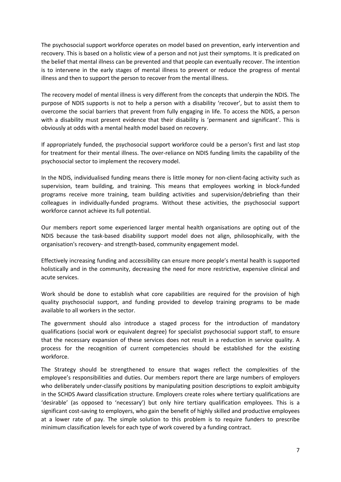The psychosocial support workforce operates on model based on prevention, early intervention and recovery. This is based on a holistic view of a person and not just their symptoms. It is predicated on the belief that mental illness can be prevented and that people can eventually recover. The intention is to intervene in the early stages of mental illness to prevent or reduce the progress of mental illness and then to support the person to recover from the mental illness.

The recovery model of mental illness is very different from the concepts that underpin the NDIS. The purpose of NDIS supports is not to help a person with a disability 'recover', but to assist them to overcome the social barriers that prevent from fully engaging in life. To access the NDIS, a person with a disability must present evidence that their disability is 'permanent and significant'. This is obviously at odds with a mental health model based on recovery.

If appropriately funded, the psychosocial support workforce could be a person's first and last stop for treatment for their mental illness. The over-reliance on NDIS funding limits the capability of the psychosocial sector to implement the recovery model.

In the NDIS, individualised funding means there is little money for non-client-facing activity such as supervision, team building, and training. This means that employees working in block-funded programs receive more training, team building activities and supervision/debriefing than their colleagues in individually-funded programs. Without these activities, the psychosocial support workforce cannot achieve its full potential.

Our members report some experienced larger mental health organisations are opting out of the NDIS because the task-based disability support model does not align, philosophically, with the organisation's recovery- and strength-based, community engagement model.

Effectively increasing funding and accessibility can ensure more people's mental health is supported holistically and in the community, decreasing the need for more restrictive, expensive clinical and acute services.

Work should be done to establish what core capabilities are required for the provision of high quality psychosocial support, and funding provided to develop training programs to be made available to all workers in the sector.

The government should also introduce a staged process for the introduction of mandatory qualifications (social work or equivalent degree) for specialist psychosocial support staff, to ensure that the necessary expansion of these services does not result in a reduction in service quality. A process for the recognition of current competencies should be established for the existing workforce.

The Strategy should be strengthened to ensure that wages reflect the complexities of the employee's responsibilities and duties. Our members report there are large numbers of employers who deliberately under-classify positions by manipulating position descriptions to exploit ambiguity in the SCHDS Award classification structure. Employers create roles where tertiary qualifications are 'desirable' (as opposed to 'necessary') but only hire tertiary qualification employees. This is a significant cost-saving to employers, who gain the benefit of highly skilled and productive employees at a lower rate of pay. The simple solution to this problem is to require funders to prescribe minimum classification levels for each type of work covered by a funding contract.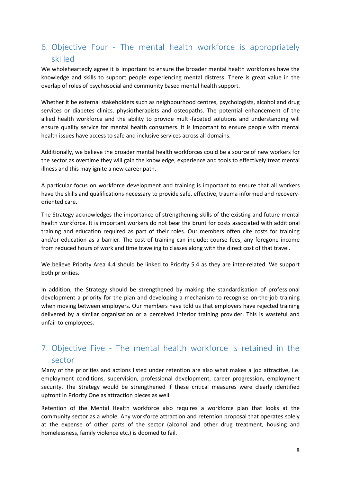## 6. Objective Four - The mental health workforce is appropriately skilled

We wholeheartedly agree it is important to ensure the broader mental health workforces have the knowledge and skills to support people experiencing mental distress. There is great value in the overlap of roles of psychosocial and community based mental health support.

Whether it be external stakeholders such as neighbourhood centres, psychologists, alcohol and drug services or diabetes clinics, physiotherapists and osteopaths. The potential enhancement of the allied health workforce and the ability to provide multi-faceted solutions and understanding will ensure quality service for mental health consumers. It is important to ensure people with mental health issues have access to safe and inclusive services across all domains.

Additionally, we believe the broader mental health workforces could be a source of new workers for the sector as overtime they will gain the knowledge, experience and tools to effectively treat mental illness and this may ignite a new career path.

A particular focus on workforce development and training is important to ensure that all workers have the skills and qualifications necessary to provide safe, effective, trauma informed and recoveryoriented care.

The Strategy acknowledges the importance of strengthening skills of the existing and future mental health workforce. It is important workers do not bear the brunt for costs associated with additional training and education required as part of their roles. Our members often cite costs for training and/or education as a barrier. The cost of training can include: course fees, any foregone income from reduced hours of work and time traveling to classes along with the direct cost of that travel.

We believe Priority Area 4.4 should be linked to Priority 5.4 as they are inter-related. We support both priorities.

In addition, the Strategy should be strengthened by making the standardisation of professional development a priority for the plan and developing a mechanism to recognise on-the-job training when moving between employers. Our members have told us that employers have rejected training delivered by a similar organisation or a perceived inferior training provider. This is wasteful and unfair to employees.

# 7. Objective Five - The mental health workforce is retained in the sector

Many of the priorities and actions listed under retention are also what makes a job attractive, i.e. employment conditions, supervision, professional development, career progression, employment security. The Strategy would be strengthened if these critical measures were clearly identified upfront in Priority One as attraction pieces as well.

Retention of the Mental Health workforce also requires a workforce plan that looks at the community sector as a whole. Any workforce attraction and retention proposal that operates solely at the expense of other parts of the sector (alcohol and other drug treatment, housing and homelessness, family violence etc.) is doomed to fail.